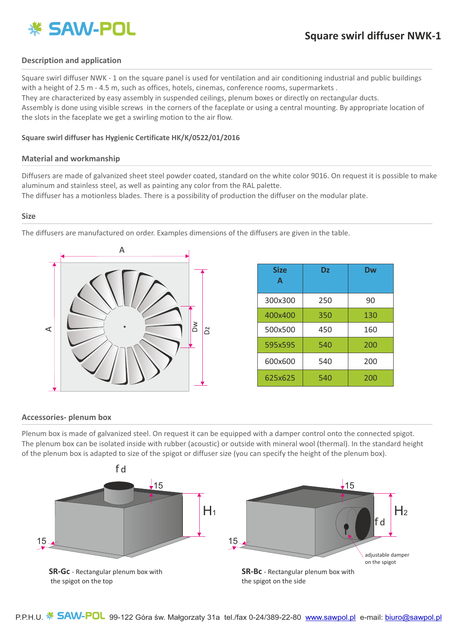

### **Description and application**

Square swirl diffuser NWK - 1 on the square panel is used for ventilation and air conditioning industrial and public buildings with a height of 2.5 m - 4.5 m, such as offices, hotels, cinemas, conference rooms, supermarkets. They are characterized by easy assembly in suspended ceilings, plenum boxes or directly on rectangular ducts. Assembly is done using visible screws in the corners of the faceplate or using a central mounting. By appropriate location of the slots in the faceplate we get a swirling motion to the air flow.

#### **Square swirl diffuser has Hygienic Certificate HK/K/0522/01/2016**

#### **Material and workmanship**

Diffusers are made of galvanized sheet steel powder coated, standard on the white color 9016. On request it is possible to make aluminum and stainless steel, as well as painting any color from the RAL palette.

The diffuser has a motionless blades. There is a possibility of production the diffuser on the modular plate.

#### **Size**

The diffusers are manufactured on order. Examples dimensions of the diffusers are given in the table.



| <b>Size</b><br>A | <b>Dz</b> | <b>Dw</b> |
|------------------|-----------|-----------|
| 300x300          | 250       | 90        |
| 400x400          | 350       | 130       |
| 500x500          | 450       | 160       |
| 595x595          | 540       | 200       |
| 600x600          | 540       | 200       |
| 625x625          | 540       | 200       |

#### **Accessories- plenum box**

Plenum box is made of galvanized steel. On request it can be equipped with a damper control onto the connected spigot. The plenum box can be isolated inside with rubber (acoustic) or outside with mineral wool (thermal). In the standard height of the plenum box is adapted to size of the spigot or diffuser size (you can specify the height of the plenum box).

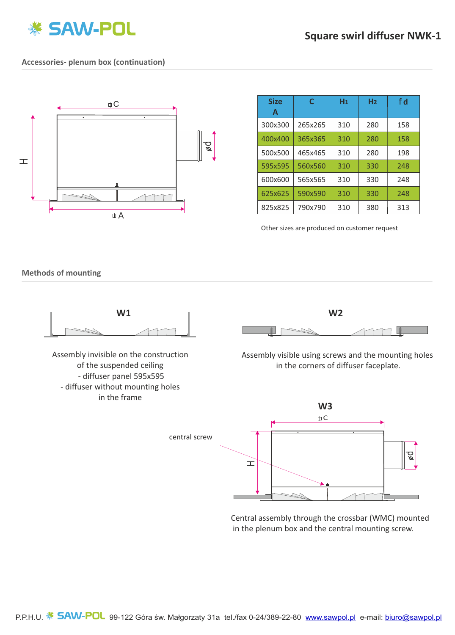

### **Accessories- plenum box (continuation)**



| <b>Size</b><br>A | C       | H <sub>1</sub> | H <sub>2</sub> | f d |
|------------------|---------|----------------|----------------|-----|
| 300x300          | 265x265 | 310            | 280            | 158 |
| 400x400          | 365x365 | 310            | 280            | 158 |
| 500x500          | 465x465 | 310            | 280            | 198 |
| 595x595          | 560x560 | 310            | 330            | 248 |
| 600x600          | 565x565 | 310            | 330            | 248 |
| 625x625          | 590x590 | 310            | 330            | 248 |
| 825x825          | 790x790 | 310            | 380            | 313 |

Other sizes are produced on customer request

**Methods of mounting**



Central assembly through the crossbar (WMC) mounted in the plenum box and the central mounting screw.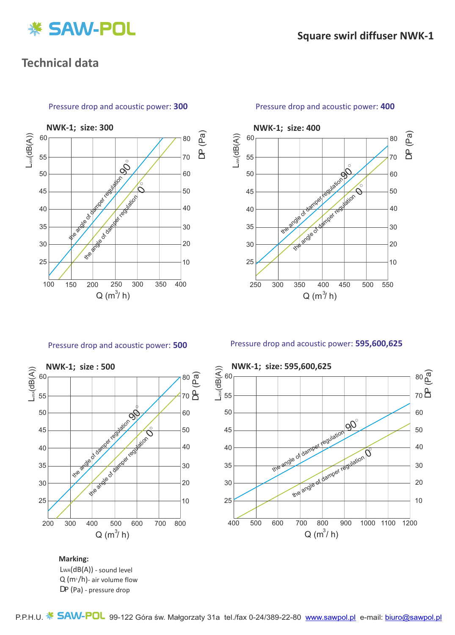

# **Technical data**



#### Pressure drop and acoustic power: **300**



### Pressure drop and acoustic power: **400**

Pressure drop and acoustic power: **500**



Pressure drop and acoustic power: **595,600,625**



Q (m3/h)- air volume flow LWA(dB(A)) - sound level DP (Pa) - pressure drop **Marking:**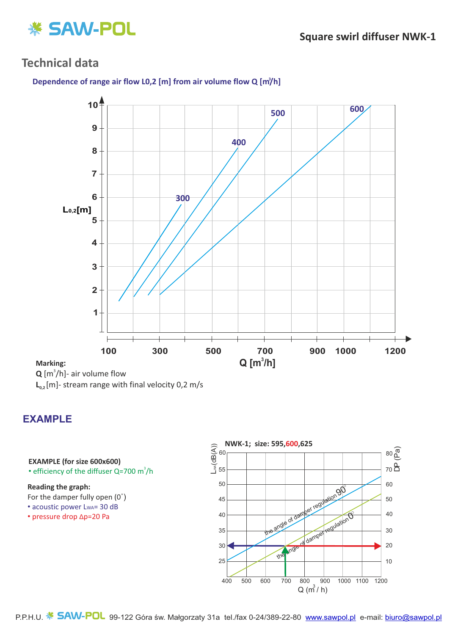

# **Technical data**





**Marking:**

 $\mathbf{Q}$  [m<sup>3</sup>/h]- air volume flow

**L**<sub>0.2</sub> [m]- stream range with final velocity 0,2 m/s

# **EXAMPLE**

## **EXAMPLE (for size 600x600)**

• efficiency of the diffuser Q=700  $m^3/h$ 

### **Reading the graph:**

For the damper fully open (0˚)

- acoustic power LwA= 30 dB
- pressure drop Δp=20 Pa